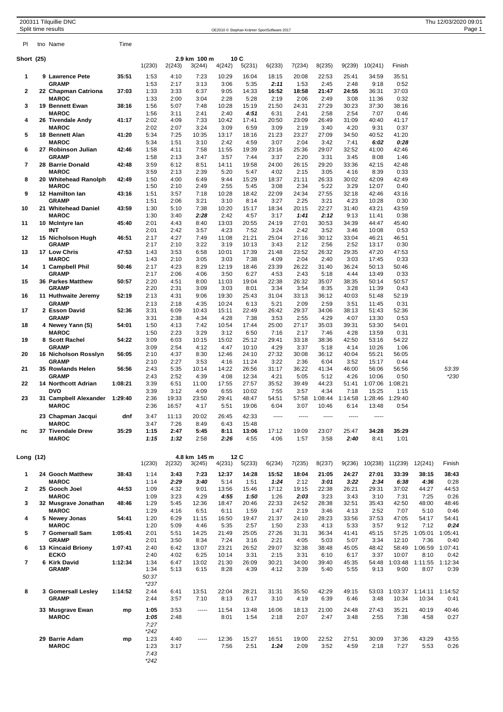|                          | 200311 Tilquillie DNC<br>Split time results |         |                                |                |                |                 |                 | OE2010 © Stephan Krämer SportSoftware 2017 |                 |                 |                     |                  |                  |                  | Thu 12/03/2020 09:01<br>Page 1 |
|--------------------------|---------------------------------------------|---------|--------------------------------|----------------|----------------|-----------------|-----------------|--------------------------------------------|-----------------|-----------------|---------------------|------------------|------------------|------------------|--------------------------------|
| PI                       | tno Name                                    | Time    |                                |                |                |                 |                 |                                            |                 |                 |                     |                  |                  |                  |                                |
| Short (25)               |                                             |         |                                |                | 2.9 km 100 m   |                 | 10C             |                                            |                 |                 |                     |                  |                  |                  |                                |
| 1                        | 9 Lawrence Pete                             | 35:51   | 1(230)<br>1:53                 | 2(243)<br>4:10 | 3(244)<br>7:23 | 4(242)<br>10:29 | 5(231)<br>16:04 | 6(233)<br>18:15                            | 7(234)<br>20:08 | 8(235)<br>22:53 | 9(239)<br>25:41     | 10(241)<br>34:59 | Finish<br>35:51  |                  |                                |
|                          | <b>GRAMP</b>                                |         | 1:53                           | 2:17           | 3:13           | 3:06            | 5:35            | 2:11                                       | 1:53            | 2:45            | 2:48                | 9:18             | 0:52             |                  |                                |
| 2                        | 22 Chapman Catriona<br><b>MAROC</b>         | 37:03   | 1:33<br>1:33                   | 3:33<br>2:00   | 6:37<br>3:04   | 9:05<br>2:28    | 14:33<br>5:28   | 16:52<br>2:19                              | 18:58<br>2:06   | 21:47<br>2:49   | 24:55<br>3:08       | 36:31<br>11:36   | 37:03<br>0:32    |                  |                                |
| 3                        | 19 Bennett Ewan<br><b>MAROC</b>             | 38:16   | 1:56<br>1:56                   | 5:07<br>3:11   | 7:48<br>2:41   | 10:28<br>2:40   | 15:19<br>4:51   | 21:50<br>6:31                              | 24:31<br>2:41   | 27:29<br>2:58   | 30:23<br>2:54       | 37:30<br>7:07    | 38:16<br>0:46    |                  |                                |
| 4                        | 26 Tivendale Andy<br><b>MAROC</b>           | 41:17   | 2:02<br>2:02                   | 4:09<br>2:07   | 7:33<br>3:24   | 10:42<br>3:09   | 17:41<br>6:59   | 20:50<br>3:09                              | 23:09<br>2:19   | 26:49<br>3:40   | 31:09<br>4:20       | 40:40<br>9:31    | 41:17<br>0:37    |                  |                                |
| 5                        | 18 Bennett Alan                             | 41:20   | 5:34                           | 7:25           | 10:35          | 13:17           | 18:16           | 21:23                                      | 23:27           | 27:09           | 34:50               | 40:52            | 41:20            |                  |                                |
| 6                        | <b>MAROC</b><br>27 Robinson Julian          | 42:46   | 5:34<br>1:58                   | 1:51<br>4:11   | 3:10<br>7:58   | 2:42<br>11:55   | 4:59<br>19:39   | 3:07<br>23:16                              | 2:04<br>25:36   | 3:42<br>29:07   | 7:41<br>32:52       | 6:02<br>41:00    | 0:28<br>42:46    |                  |                                |
| $\overline{7}$           | <b>GRAMP</b><br>28 Barrie Donald            | 42:48   | 1:58<br>3:59                   | 2:13<br>6:12   | 3:47<br>8:51   | 3:57<br>14:11   | 7:44<br>19:58   | 3:37<br>24:00                              | 2:20<br>26:15   | 3:31<br>29:20   | 3:45<br>33:36       | 8:08<br>42:15    | 1:46<br>42:48    |                  |                                |
|                          | <b>MAROC</b>                                |         | 3:59                           | 2:13           | 2:39           | 5:20            | 5:47            | 4:02                                       | 2:15            | 3:05            | 4:16                | 8:39             | 0:33             |                  |                                |
| 8                        | 20 Whitehead Ranolph<br><b>MAROC</b>        | 42:49   | 1:50<br>1:50                   | 4:00<br>2:10   | 6:49<br>2:49   | 9:44<br>2:55    | 15:29<br>5:45   | 18:37<br>3:08                              | 21:11<br>2:34   | 26:33<br>5:22   | 30:02<br>3:29       | 42:09<br>12:07   | 42:49<br>0:40    |                  |                                |
| 9                        | 12 Hamilton lan<br><b>GRAMP</b>             | 43:16   | 1:51<br>1:51                   | 3:57<br>2:06   | 7:18<br>3:21   | 10:28<br>3:10   | 18:42<br>8:14   | 22:09<br>3:27                              | 24:34<br>2:25   | 27:55<br>3:21   | 32:18<br>4:23       | 42:46<br>10:28   | 43:16<br>0:30    |                  |                                |
| 10                       | 21 Whitehead Daniel<br><b>MAROC</b>         | 43:59   | 1:30<br>1:30                   | 5:10<br>3:40   | 7:38<br>2:28   | 10:20<br>2:42   | 15:17<br>4:57   | 18:34<br>3:17                              | 20:15<br>1:41   | 22:27<br>2:12   | 31:40<br>9:13       | 43:21<br>11:41   | 43:59<br>0:38    |                  |                                |
| 11                       | 10 McIntyre lan                             | 45:40   | 2:01                           | 4:43           | 8:40           | 13:03           | 20:55           | 24:19                                      | 27:01           | 30:53           | 34:39               | 44:47            | 45:40            |                  |                                |
| 12                       | INT<br>15 Nicholson Hugh                    | 46:51   | 2:01<br>2:17                   | 2:42<br>4:27   | 3:57<br>7:49   | 4:23<br>11:08   | 7:52<br>21:21   | 3:24<br>25:04                              | 2:42<br>27:16   | 3:52<br>30:12   | 3:46<br>33:04       | 10:08<br>46:21   | 0:53<br>46:51    |                  |                                |
| 13                       | <b>GRAMP</b><br>17 Low Chris                | 47:53   | 2:17<br>1:43                   | 2:10<br>3:53   | 3:22<br>6:58   | 3:19<br>10:01   | 10:13<br>17:39  | 3:43<br>21:48                              | 2:12<br>23:52   | 2:56<br>26:32   | 2:52<br>29:35       | 13:17<br>47:20   | 0:30<br>47:53    |                  |                                |
|                          | <b>MAROC</b>                                |         | 1:43                           | 2:10           | 3:05           | 3:03            | 7:38            | 4:09                                       | 2:04            | 2:40            | 3:03                | 17:45            | 0:33             |                  |                                |
| 14                       | 1 Campbell Phil<br><b>GRAMP</b>             | 50:46   | 2:17<br>2:17                   | 4:23<br>2:06   | 8:29<br>4:06   | 12:19<br>3:50   | 18:46<br>6:27   | 23:39<br>4:53                              | 26:22<br>2:43   | 31:40<br>5:18   | 36:24<br>4:44       | 50:13<br>13:49   | 50:46<br>0:33    |                  |                                |
| 15                       | <b>36 Parkes Matthew</b><br><b>GRAMP</b>    | 50:57   | 2:20<br>2:20                   | 4:51<br>2:31   | 8:00<br>3:09   | 11:03<br>3:03   | 19:04<br>8:01   | 22:38<br>3:34                              | 26:32<br>3:54   | 35:07<br>8:35   | 38:35<br>3:28       | 50:14<br>11:39   | 50:57<br>0:43    |                  |                                |
| 16                       | 11 Huthwaite Jeremy<br><b>GRAMP</b>         | 52:19   | 2:13                           | 4:31           | 9:06           | 19:30           | 25:43           | 31:04                                      | 33:13<br>2:09   | 36:12<br>2:59   | 40:03               | 51:48            | 52:19<br>0:31    |                  |                                |
| 17                       | 2 Esson David                               | 52:36   | 2:13<br>3:31                   | 2:18<br>6:09   | 4:35<br>10:43  | 10:24<br>15:11  | 6:13<br>22:49   | 5:21<br>26:42                              | 29:37           | 34:06           | 3:51<br>38:13       | 11:45<br>51:43   | 52:36            |                  |                                |
| 18                       | <b>GRAMP</b><br>4 Newey Yann (S)            | 54:01   | 3:31<br>1:50                   | 2:38<br>4:13   | 4:34<br>7:42   | 4:28<br>10:54   | 7:38<br>17:44   | 3:53<br>25:00                              | 2:55<br>27:17   | 4:29<br>35:03   | 4:07<br>39:31       | 13:30<br>53:30   | 0:53<br>54:01    |                  |                                |
| 19                       | <b>MAROC</b><br>8 Scott Rachel              | 54:22   | 1:50<br>3:09                   | 2:23<br>6:03   | 3:29<br>10:15  | 3:12<br>15:02   | 6:50<br>25:12   | 7:16<br>29:41                              | 2:17<br>33:18   | 7:46<br>38:36   | 4:28<br>42:50       | 13:59<br>53:16   | 0:31<br>54:22    |                  |                                |
|                          | <b>GRAMP</b>                                |         | 3:09                           | 2:54           | 4:12           | 4:47            | 10:10           | 4:29                                       | 3:37            | 5:18            | 4:14                | 10:26            | 1:06             |                  |                                |
| 20                       | 16 Nicholson Rosslyn<br><b>GRAMP</b>        | 56:05   | 2:10<br>2:10                   | 4:37<br>2:27   | 8:30<br>3:53   | 12:46<br>4:16   | 24:10<br>11:24  | 27:32<br>3:22                              | 30:08<br>2:36   | 36:12<br>6:04   | 40:04<br>3:52       | 55:21<br>15:17   | 56:05<br>0:44    |                  |                                |
| 21                       | 35 Rowlands Helen<br><b>GRAMP</b>           | 56:56   | 2:43<br>2:43                   | 5:35<br>2:52   | 10:14<br>4:39  | 14:22<br>4:08   | 26:56<br>12:34  | 31:17<br>4:21                              | 36:22<br>5:05   | 41:34<br>5:12   | 46:00<br>4:26       | 56:06<br>10:06   | 56:56<br>0:50    |                  | 53:39<br>$*230$                |
| 22                       | <b>14 Northcott Adrian</b><br><b>DVO</b>    | 1:08:21 | 3:39                           | 6:51           | 11:00          | 17:55           | 27:57           | 35:52                                      | 39:49           | 44:23           | 51:41               | 1:07:06          | 1:08:21          |                  |                                |
| 23                       | 31 Campbell Alexander 1:29:40               |         | 3:39<br>2:36                   | 3:12<br>19:33  | 4:09<br>23:50  | 6:55<br>29:41   | 10:02<br>48:47  | 7:55<br>54:51                              | 3:57<br>57:58   | 4:34<br>1:08:44 | 7:18<br>1:14:58     | 15:25<br>1:28:46 | 1:15<br>1:29:40  |                  |                                |
|                          | <b>MAROC</b>                                | dnf     | 2:36<br>3:47                   | 16:57<br>11:13 | 4:17<br>20:02  | 5:51<br>26:45   | 19:06<br>42:33  | 6:04<br>1.111                              | 3:07<br>1.1.1.1 | 10:46<br>-----  | 6:14<br>$- - - - -$ | 13:48<br>1.1.1.1 | 0:54             |                  |                                |
|                          | 23 Chapman Jacqui<br><b>MAROC</b>           |         | 3:47                           | 7:26           | 8:49           | 6:43            | 15:48           |                                            |                 |                 |                     |                  |                  |                  |                                |
| nc                       | 37 Tivendale Drew<br><b>MAROC</b>           | 35:29   | 1:15<br>1:15                   | 2:47<br>1:32   | 5:45<br>2:58   | 8:11<br>2:26    | 13:06<br>4:55   | 17:12<br>4:06                              | 19:09<br>1:57   | 23:07<br>3:58   | 25:47<br>2:40       | 34:28<br>8:41    | 35:29<br>1:01    |                  |                                |
| Long (12)                |                                             |         |                                |                | 4.8 km 145 m   |                 | 12C             |                                            |                 |                 |                     |                  |                  |                  |                                |
| 1                        | 24 Gooch Matthew                            | 38:43   | 1(230)<br>1:14                 | 2(232)<br>3:43 | 3(245)<br>7:23 | 4(231)<br>12:37 | 5(233)<br>14:28 | 6(234)<br>15:52                            | 7(235)<br>18:04 | 8(237)<br>21:05 | 9(236)<br>24:27     | 10(238)<br>27:01 | 11(239)<br>33:39 | 12(241)<br>38:15 | Finish<br>38:43                |
|                          | <b>MAROC</b>                                |         | 1:14                           | 2:29           | 3:40           | 5:14            | 1:51            | 1:24                                       | 2:12            | 3:01            | 3:22                | 2:34             | 6:38             | 4:36             | 0:28                           |
| $\mathbf{2}$             | 25 Gooch Joel<br><b>MAROC</b>               | 44:53   | 1:09<br>1:09                   | 4:32<br>3:23   | 9:01<br>4:29   | 13:56<br>4:55   | 15:46<br>1:50   | 17:12<br>1:26                              | 19:15<br>2:03   | 22:38<br>3:23   | 26:21<br>3:43       | 29:31<br>3:10    | 37:02<br>7:31    | 44:27<br>7:25    | 44:53<br>0:26                  |
| 3                        | 32 Musgrave Jonathan<br><b>MAROC</b>        | 48:46   | 1:29<br>1:29                   | 5:45<br>4:16   | 12:36<br>6:51  | 18:47<br>6:11   | 20:46<br>1:59   | 22:33<br>1:47                              | 24:52<br>2:19   | 28:38<br>3:46   | 32:51<br>4:13       | 35:43<br>2:52    | 42:50<br>7:07    | 48:00<br>5:10    | 48:46<br>0:46                  |
| 4                        | 5 Newey Jonas<br><b>MAROC</b>               | 54:41   | 1:20<br>1:20                   | 6:29<br>5:09   | 11:15<br>4:46  | 16:50<br>5:35   | 19:47<br>2:57   | 21:37<br>1:50                              | 24:10<br>2:33   | 28:23<br>4:13   | 33:56<br>5:33       | 37:53<br>3:57    | 47:05<br>9:12    | 54:17<br>7:12    | 54:41<br>0:24                  |
| 5                        | 7 Gomersall Sam                             | 1:05:41 | 2:01                           | 5:51           | 14:25          | 21:49           | 25:05           | 27:26                                      | 31:31           | 36:34           | 41:41               | 45:15            | 57:25            | 1:05:01          | 1:05:41                        |
| 6                        | <b>GRAMP</b><br><b>13 Kincaid Briony</b>    | 1:07:41 | 2:01<br>2:40                   | 3:50<br>6:42   | 8:34<br>13:07  | 7:24<br>23:21   | 3:16<br>26:52   | 2:21<br>29:07                              | 4:05<br>32:38   | 5:03<br>38:48   | 5:07<br>45:05       | 3:34<br>48:42    | 12:10<br>58:49   | 7:36<br>1:06:59  | 0:40<br>1:07:41                |
| $\overline{\phantom{a}}$ | <b>ECKO</b><br>6 Kirk David                 | 1:12:34 | 2:40<br>1:34                   | 4:02<br>6:47   | 6:25<br>13:02  | 10:14<br>21:30  | 3:31<br>26:09   | 2:15<br>30:21                              | 3:31<br>34:00   | 6:10<br>39:40   | 6:17<br>45:35       | 3:37<br>54:48    | 10:07<br>1:03:48 | 8:10<br>1:11:55  | 0:42<br>1:12:34                |
|                          | <b>GRAMP</b>                                |         | 1:34<br>50:37<br>$*237$        | 5:13           | 6:15           | 8:28            | 4:39            | 4:12                                       | 3:39            | 5:40            | 5:55                | 9:13             | 9:00             | 8:07             | 0:39                           |
| 8                        | 3 Gomersall Lesley<br><b>GRAMP</b>          | 1:14:52 | 2:44<br>2:44                   | 6:41<br>3:57   | 13:51<br>7:10  | 22:04<br>8:13   | 28:21<br>6:17   | 31:31<br>3:10                              | 35:50<br>4:19   | 42:29<br>6:39   | 49:15<br>6:46       | 53:03<br>3:48    | 1:03:37<br>10:34 | 1:14:11<br>10:34 | 1:14:52<br>0:41                |
|                          | 33 Musgrave Ewan<br><b>MAROC</b>            | mp      | 1:05<br>1:05<br>7:27<br>$*242$ | 3:53<br>2:48   | 1.1.1.1        | 11:54<br>8:01   | 13:48<br>1:54   | 16:06<br>2:18                              | 18:13<br>2:07   | 21:00<br>2:47   | 24:48<br>3:48       | 27:43<br>2:55    | 35:21<br>7:38    | 40:19<br>4:58    | 40:46<br>0:27                  |
|                          | 29 Barrie Adam<br><b>MAROC</b>              | mp      | 1:23<br>1:23                   | 4:40<br>3:17   | -----          | 12:36<br>7:56   | 15:27<br>2:51   | 16:51<br>1:24                              | 19:00<br>2:09   | 22:52<br>3:52   | 27:51<br>4:59       | 30:09<br>2:18    | 37:36<br>7:27    | 43:29<br>5:53    | 43:55<br>0:26                  |

*7:43 \*242*